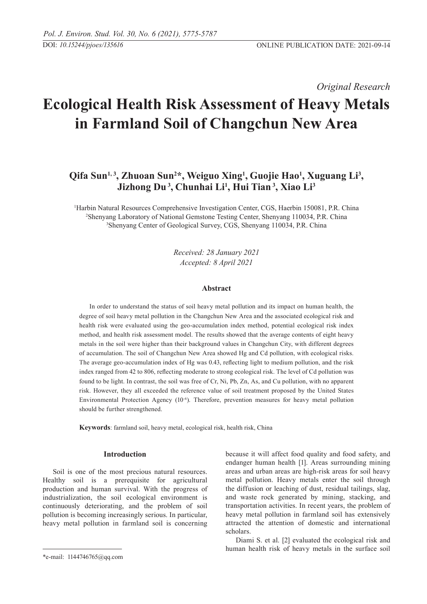*Original Research* 

# **Ecological Health Risk Assessment of Heavy Metals in Farmland Soil of Changchun New Area**

## Qifa Sun<sup>1,3</sup>, Zhuoan Sun<sup>2\*</sup>, Weiguo Xing<sup>1</sup>, Guojie Hao<sup>1</sup>, Xuguang Li<sup>3</sup>, **Jizhong Du 3 , Chunhai Li1 , Hui Tian 3, Xiao Li3**

<sup>1</sup>Harbin Natural Resources Comprehensive Investigation Center, CGS, Haerbin 150081, P.R. China<br><sup>2</sup>Shenyang Laboratory of National Gemstone Testing Center, Shenyang 110034, P.R. China Shenyang Laboratory of national gemstone testing center, Shenyang 110034, P.R. China 3 Shenyang Center of Geological Survey, CGS, Shenyang 110034, P.R. China

> *Received: 28 January 2021 Accepted: 8 April 2021*

## **Abstract**

In order to understand the status of soil heavy metal pollution and its impact on human health, the degree of soil heavy metal pollution in the Changchun New Area and the associated ecological risk and health risk were evaluated using the geo-accumulation index method, potential ecological risk index method, and health risk assessment model. The results showed that the average contents of eight heavy metals in the soil were higher than their background values in Changchun City, with different degrees of accumulation. The soil of Changchun New Area showed Hg and Cd pollution, with ecological risks. The average geo-accumulation index of Hg was 0.43, reflecting light to medium pollution, and the risk index ranged from 42 to 806, reflecting moderate to strong ecological risk. The level of Cd pollution was found to be light. In contrast, the soil was free of Cr, Ni, Pb, Zn, As, and Cu pollution, with no apparent risk. However, they all exceeded the reference value of soil treatment proposed by the United States Environmental Protection Agency (10-6). Therefore, prevention measures for heavy metal pollution should be further strengthened.

**Keywords**: farmland soil, heavy metal, ecological risk, health risk, China

## **Introduction**

Soil is one of the most precious natural resources. Healthy soil is a prerequisite for agricultural production and human survival. With the progress of industrialization, the soil ecological environment is continuously deteriorating, and the problem of soil pollution is becoming increasingly serious. In particular, heavy metal pollution in farmland soil is concerning

because it will affect food quality and food safety, and endanger human health [1]. Areas surrounding mining areas and urban areas are high-risk areas for soil heavy metal pollution. Heavy metals enter the soil through the diffusion or leaching of dust, residual tailings, slag, and waste rock generated by mining, stacking, and transportation activities. In recent years, the problem of heavy metal pollution in farmland soil has extensively attracted the attention of domestic and international scholars.

Diami S. et al. [2] evaluated the ecological risk and human health risk of heavy metals in the surface soil

<sup>\*</sup>e-mail: 1144746765@qq.com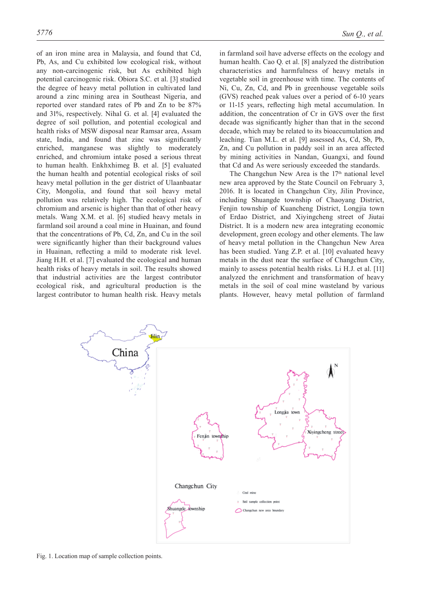of an iron mine area in Malaysia, and found that Cd, Pb, As, and Cu exhibited low ecological risk, without any non-carcinogenic risk, but As exhibited high potential carcinogenic risk. Obiora S.C. et al. [3] studied the degree of heavy metal pollution in cultivated land around a zinc mining area in Southeast Nigeria, and reported over standard rates of Pb and Zn to be 87% and 31%, respectively. Nihal G. et al. [4] evaluated the degree of soil pollution, and potential ecological and health risks of MSW disposal near Ramsar area, Assam state, India, and found that zinc was significantly enriched, manganese was slightly to moderately enriched, and chromium intake posed a serious threat to human health. Enkhxhimeg B. et al. [5] evaluated the human health and potential ecological risks of soil heavy metal pollution in the ger district of Ulaanbaatar City, Mongolia, and found that soil heavy metal pollution was relatively high. The ecological risk of chromium and arsenic is higher than that of other heavy metals. Wang X.M. et al. [6] studied heavy metals in farmland soil around a coal mine in Huainan, and found that the concentrations of Pb, Cd, Zn, and Cu in the soil were significantly higher than their background values in Huainan, reflecting a mild to moderate risk level. Jiang H.H. et al. [7] evaluated the ecological and human health risks of heavy metals in soil. The results showed that industrial activities are the largest contributor ecological risk, and agricultural production is the largest contributor to human health risk. Heavy metals

in farmland soil have adverse effects on the ecology and human health. Cao Q. et al. [8] analyzed the distribution characteristics and harmfulness of heavy metals in vegetable soil in greenhouse with time. The contents of Ni, Cu, Zn, Cd, and Pb in greenhouse vegetable soils (GVS) reached peak values over a period of 6-10 years or 11-15 years, reflecting high metal accumulation. In addition, the concentration of Cr in GVS over the first decade was significantly higher than that in the second decade, which may be related to its bioaccumulation and leaching. Tian M.L. et al. [9] assessed As, Cd, Sb, Pb, Zn, and Cu pollution in paddy soil in an area affected by mining activities in Nandan, Guangxi, and found that Cd and As were seriously exceeded the standards.

The Changchun New Area is the  $17<sup>th</sup>$  national level new area approved by the State Council on February 3, 2016. It is located in Changchun City, Jilin Province, including Shuangde township of Chaoyang District, Fenjin township of Kuancheng District, Longjia town of Erdao District, and Xiyingcheng street of Jiutai District. It is a modern new area integrating economic development, green ecology and other elements. The law of heavy metal pollution in the Changchun New Area has been studied. Yang Z.P. et al. [10] evaluated heavy metals in the dust near the surface of Changchun City, mainly to assess potential health risks. Li H.J. et al. [11] analyzed the enrichment and transformation of heavy metals in the soil of coal mine wasteland by various plants. However, heavy metal pollution of farmland



Fig. 1. Location map of sample collection points.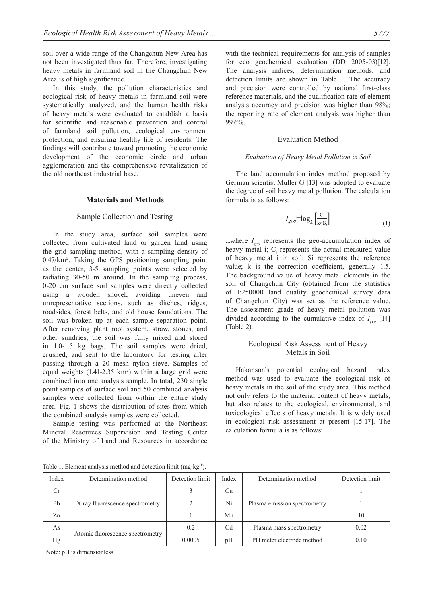soil over a wide range of the Changchun New Area has not been investigated thus far. Therefore, investigating heavy metals in farmland soil in the Changchun New Area is of high significance.

In this study, the pollution characteristics and ecological risk of heavy metals in farmland soil were systematically analyzed, and the human health risks of heavy metals were evaluated to establish a basis for scientific and reasonable prevention and control of farmland soil pollution, ecological environment protection, and ensuring healthy life of residents. The findings will contribute toward promoting the economic development of the economic circle and urban agglomeration and the comprehensive revitalization of the old northeast industrial base.

#### **Materials and Methods**

#### Sample Collection and Testing

In the study area, surface soil samples were collected from cultivated land or garden land using the grid sampling method, with a sampling density of 0.47/km2 . Taking the GPS positioning sampling point as the center, 3-5 sampling points were selected by radiating 30-50 m around. In the sampling process, 0-20 cm surface soil samples were directly collected using a wooden shovel, avoiding uneven and unrepresentative sections, such as ditches, ridges, roadsides, forest belts, and old house foundations. The soil was broken up at each sample separation point. After removing plant root system, straw, stones, and other sundries, the soil was fully mixed and stored in 1.0-1.5 kg bags. The soil samples were dried, crushed, and sent to the laboratory for testing after passing through a 20 mesh nylon sieve. Samples of equal weights  $(1.41-2.35 \text{ km}^2)$  within a large grid were combined into one analysis sample. In total, 230 single point samples of surface soil and 50 combined analysis samples were collected from within the entire study area. Fig. 1 shows the distribution of sites from which the combined analysis samples were collected.

Sample testing was performed at the Northeast Mineral Resources Supervision and Testing Center of the Ministry of Land and Resources in accordance with the technical requirements for analysis of samples for eco geochemical evaluation (DD 2005-03)[12]. The analysis indices, determination methods, and detection limits are shown in Table 1. The accuracy and precision were controlled by national first-class reference materials, and the qualification rate of element analysis accuracy and precision was higher than 98%; the reporting rate of element analysis was higher than 99.6%.

## Evaluation Method

#### *Evaluation of Heavy Metal Pollution in Soil*

The land accumulation index method proposed by German scientist Muller G [13] was adopted to evaluate the degree of soil heavy metal pollution. The calculation formula is as follows:

$$
I_{geo} = \log_2 \left[ \frac{C_i}{k \times S_i} \right] \tag{1}
$$

...where *I geo* represents the geo-accumulation index of heavy metal i;  $C<sub>i</sub>$  represents the actual measured value of heavy metal i in soil; Si represents the reference value; k is the correction coefficient, generally 1.5. The background value of heavy metal elements in the soil of Changchun City (obtained from the statistics of 1:250000 land quality geochemical survey data of Changchun City) was set as the reference value. The assessment grade of heavy metal pollution was divided according to the cumulative index of *I geo* [14] (Table 2).

## Ecological Risk Assessment of Heavy Metals in Soil

Hakanson's potential ecological hazard index method was used to evaluate the ecological risk of heavy metals in the soil of the study area. This method not only refers to the material content of heavy metals, but also relates to the ecological, environmental, and toxicological effects of heavy metals. It is widely used in ecological risk assessment at present [15-17]. The calculation formula is as follows:

Index Determination method Detection limit Index Determination method Detection limit Cr Pb | X ray fluorescence spectrometry | 2 | Ni | Plasma emission spectrometry | 1  $3$  Cu Plasma emission spectrometry 1  $\mathbb{Z}$ n | 1 | Mn | 10 As Atomic fluorescence spectrometry 0.2 Cd Plasma mass spectrometry 0.02  $Hg$  0.0005 pH PH meter electrode method 0.10

Table 1. Element analysis method and detection limit (mg·kg-1).

Note: pH is dimensionless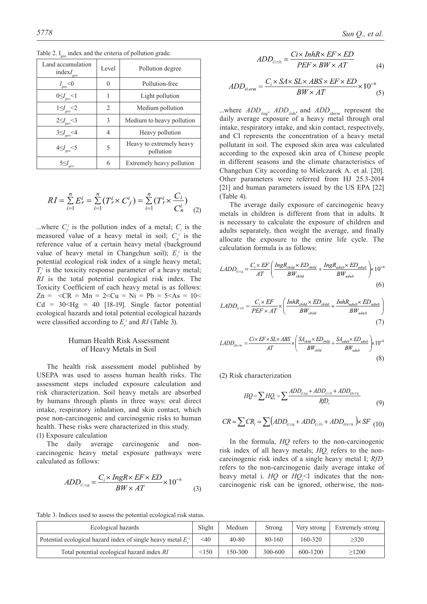| Land accumulation<br>$indexI_{\text{geo}}$ | Level  | Pollution degree                      |
|--------------------------------------------|--------|---------------------------------------|
| $I_{geo}$ <0                               | $_{0}$ | Pollution-free                        |
| $0 \leq I_{geo} < 1$                       | 1      | Light pollution                       |
| $1 {\leq} I_{geo}{<}2$                     | 2      | Medium pollution                      |
| $2 \leq I_{geo} < 3$                       | 3      | Medium to heavy pollution             |
| $3 \leq I_{geo} < 4$                       | 4      | Heavy pollution                       |
| $4 \leq I_{geo} < 5$                       | 5      | Heavy to extremely heavy<br>pollution |
| $5 \leq I$                                 | 6      | Extremely heavy pollution             |

Table 2.  $I_{\text{geo}}$  index and the criteria of pollution grade.

$$
RI = \sum_{i=1}^{n} E_r^i = \sum_{i=1}^{n} (T_r^i \times C_f^i) = \sum_{i=1}^{n} (T_r^i \times \frac{C_i}{C_n^i})
$$
 (2)

...where  $C_f^i$  is the pollution index of a metal;  $C_i$  is the measured value of a heavy metal in soil;  $C_n^i$  is the reference value of a certain heavy metal (background value of heavy metal in Changchun soil);  $E_r^i$  is the potential ecological risk index of a single heavy metal;  $T_r^i$  is the toxicity response parameter of a heavy metal; *RI* is the total potential ecological risk index. The Toxicity Coefficient of each heavy metal is as follows:  $Zn = \langle CR = Mn = 2 \langle Cu = Ni = Pb = 5 \langle As = 10 \rangle$  $Cd = 30 \leq Hg = 40$  [18-19]. Single factor potential ecological hazards and total potential ecological hazards were classified according to  $E_r^i$  and  $RI$  (Table 3).

## Human Health Risk Assessment of Heavy Metals in Soil

The health risk assessment model published by USEPA was used to assess human health risks. The assessment steps included exposure calculation and risk characterization. Soil heavy metals are absorbed by humans through plants in three ways: oral direct intake, respiratory inhalation, and skin contact, which pose non-carcinogenic and carcinogenic risks to human health. These risks were characterized in this study. (1) Exposure calculation

The daily average carcinogenic and noncarcinogenic heavy metal exposure pathways were calculated as follows:

$$
ADD_{\text{sing}} = \frac{C_i \times \text{IngR} \times \text{EF} \times \text{ED}}{\text{BW} \times \text{AT}} \times 10^{-6}
$$
 (3)

$$
ADD_{i\text{inh}} = \frac{C i \times InhR \times EF \times ED}{PEF \times BW \times AT}
$$
 (4)

$$
ADD_{iderm} = \frac{C_i \times S A \times S L \times ABS \times EF \times ED}{BW \times AT} \times 10^{-6}
$$
(5)

...where *ADD*<sub>ing</sub>, *ADD*<sub>inh</sub>, and *ADD*<sub>iderm</sub> represent the daily average exposure of a heavy metal through oral intake, respiratory intake, and skin contact, respectively, and CI represents the concentration of a heavy metal pollutant in soil. The exposed skin area was calculated according to the exposed skin area of Chinese people in different seasons and the climate characteristics of Changchun City according to Mielczarek A. et al. [20]. Other parameters were referred from HJ 25.3-2014 [21] and human parameters issued by the US EPA [22] (Table 4).

The average daily exposure of carcinogenic heavy metals in children is different from that in adults. It is necessary to calculate the exposure of children and adults separately, then weight the average, and finally allocate the exposure to the entire life cycle. The calculation formula is as follows:

$$
LADD_{\text{sing}} = \frac{C_i \times EF}{AT} \left( \frac{IngR_{child} \times ED_{child}}{BW_{child}} + \frac{IngR_{aduli} \times ED_{aduli}}{BW_{aduli}} \right) \times 10^{-6}
$$
\n
$$
(6)
$$

$$
LADD_{i} = \frac{C_i \times EF}{PEF \times AT} \times \left(\frac{InhR_{child} \times ED_{child}}{BW_{child}} + \frac{InhR_{adul} \times ED_{adult}}{BW_{adult}}\right)
$$
\n(7)

$$
LADD_{\text{idern}} = \frac{C i \times EF \times SL \times ABS}{AT} \times \left(\frac{S A_{child} \times ED_{child}}{BW_{child}} + \frac{S A_{adul} \times ED_{adul}}{BW_{adul}}\right) \times 10^{-6}
$$
\n(8)

(2) Risk characterization

$$
HQ = \sum HQ_i = \sum \frac{ADD_{i_{\text{ing}}} + ADD_{i_{\text{inh}}} + ADD_{i_{\text{derm}}}}{RjD_i}
$$
(9)

$$
CR = \sum CR_i = \sum (ADD_{i\text{ing}} + ADD_{i\text{inh}} + ADD_{i\text{derm}}) \times SF
$$
 (10)

In the formula, *HQ* refers to the non-carcinogenic risk index of all heavy metals;  $HQ<sub>i</sub>$  refers to the noncarcinogenic risk index of a single heavy metal I; *RfD* refers to the non-carcinogenic daily average intake of heavy metal i.  $HQ$  or  $HQ_i<sup>2</sup>1$  indicates that the noncarcinogenic risk can be ignored, otherwise, the non-

Table 3. Indices used to assess the potential ecological risk status.

| Ecological hazards                                              | Slight | Medium    | Strong  | Very strong | Extremely strong |
|-----------------------------------------------------------------|--------|-----------|---------|-------------|------------------|
| Potential ecological hazard index of single heavy metal $E^i$ . | $<$ 40 | $40 - 80$ | 80-160  | 160-320     | >320             |
| Total potential ecological hazard index RI                      | < 150  | 150-300   | 300-600 | 600-1200    | >1200            |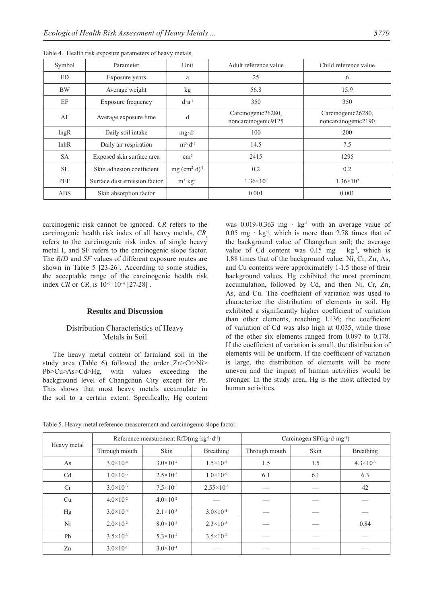| Symbol      | Parameter                    | Unit                    | Adult reference value                     | Child reference value                     |
|-------------|------------------------------|-------------------------|-------------------------------------------|-------------------------------------------|
| <b>ED</b>   | Exposure years               | a                       | 25                                        | 6                                         |
| <b>BW</b>   | Average weight               | kg                      | 56.8                                      | 15.9                                      |
| EF          | Exposure frequency           | $d \cdot a^{-1}$        | 350                                       | 350                                       |
| AT          | Average exposure time        | d                       | Carcinogenic26280,<br>noncarcinogenic9125 | Carcinogenic26280,<br>noncarcinogenic2190 |
| IngR        | Daily soil intake            | $mg \cdot d^{-1}$       | 100                                       | 200                                       |
| <b>InhR</b> | Daily air respiration        | $m^3 \cdot d^{-1}$      | 14.5                                      | 7.5                                       |
| <b>SA</b>   | Exposed skin surface area    | $\rm cm^2$              | 2415                                      | 1295                                      |
| <b>SL</b>   | Skin adhesion coefficient    | $mg (cm2·d)-1$          | 0.2                                       | 0.2                                       |
| PEF         | Surface dust emission factor | $m^3$ ·kg <sup>-1</sup> | $1.36 \times 10^{9}$                      | $1.36\times10^{9}$                        |
| ABS         | Skin absorption factor       |                         | 0.001                                     | 0.001                                     |

Table 4. Health risk exposure parameters of heavy metals.

carcinogenic risk cannot be ignored. *CR* refers to the carcinogenic health risk index of all heavy metals, *CR*. refers to the carcinogenic risk index of single heavy metal I, and SF refers to the carcinogenic slope factor. The *RfD* and *SF* values of different exposure routes are shown in Table 5 [23-26]. According to some studies, the acceptable range of the carcinogenic health risk index *CR* or  $CR_i$  is  $10^{-6}$ – $10^{-4}$  [27-28].

## **Results and Discussion**

## Distribution Characteristics of Heavy Metals in Soil

The heavy metal content of farmland soil in the study area (Table 6) followed the order Zn>Cr>Ni> Pb>Cu>As>Cd>Hg, with values exceeding the background level of Changchun City except for Pb. This shows that most heavy metals accumulate in the soil to a certain extent. Specifically, Hg content was 0.019-0.363 mg  $\cdot$  kg<sup>-1</sup> with an average value of  $0.05$  mg  $\cdot$  kg<sup>-1</sup>, which is more than 2.78 times that of the background value of Changchun soil; the average value of Cd content was  $0.15 \text{ mg} \cdot \text{kg}^{-1}$ , which is 1.88 times that of the background value; Ni, Cr, Zn, As, and Cu contents were approximately 1-1.5 those of their background values. Hg exhibited the most prominent accumulation, followed by Cd, and then Ni, Cr, Zn, As, and Cu. The coefficient of variation was used to characterize the distribution of elements in soil. Hg exhibited a significantly higher coefficient of variation than other elements, reaching 1.136; the coefficient of variation of Cd was also high at 0.035, while those of the other six elements ranged from 0.097 to 0.178. If the coefficient of variation is small, the distribution of elements will be uniform. If the coefficient of variation is large, the distribution of elements will be more uneven and the impact of human activities would be stronger. In the study area, Hg is the most affected by human activities.

| Table 5. Heavy metal reference measurement and carcinogenic slope factor. |  |  |
|---------------------------------------------------------------------------|--|--|
|                                                                           |  |  |

| Heavy metal    |                      | Reference measurement $RfD(mg \tkg^{-1} \t d^{-1})$ |                       | Carcinogen SF(kg d mg <sup>-1</sup> ) |      |                      |  |
|----------------|----------------------|-----------------------------------------------------|-----------------------|---------------------------------------|------|----------------------|--|
|                | Through mouth        | Skin                                                | Breathing             | Through mouth                         | Skin | Breathing            |  |
| As             | $3.0 \times 10^{-4}$ | $3.0\times10^{-4}$                                  | $1.5 \times 10^{-5}$  | 1.5                                   | 1.5  | $4.3 \times 10^{-3}$ |  |
| C <sub>d</sub> | $1.0 \times 10^{-3}$ | $2.5 \times 10^{-5}$                                | $1.0\times10^{-5}$    | 6.1                                   | 6.1  | 6.3                  |  |
| Cr             | $3.0 \times 10^{-3}$ | $7.5 \times 10^{-5}$                                | $2.55 \times 10^{-5}$ |                                       |      | 42                   |  |
| Cu             | $4.0 \times 10^{-2}$ | $4.0 \times 10^{-2}$                                |                       |                                       |      |                      |  |
| Hg             | $3.0 \times 10^{-4}$ | $2.1 \times 10^{-5}$                                | $3.0\times10^{-4}$    |                                       |      |                      |  |
| Ni             | $2.0 \times 10^{-2}$ | $8.0\times10^{-4}$                                  | $2.3 \times 10^{-5}$  |                                       |      | 0.84                 |  |
| Pb             | $3.5 \times 10^{-3}$ | $5.3 \times 10^{-4}$                                | $3.5 \times 10^{-3}$  |                                       |      |                      |  |
| Zn             | $3.0 \times 10^{-1}$ | $3.0\times10^{-1}$                                  |                       |                                       |      |                      |  |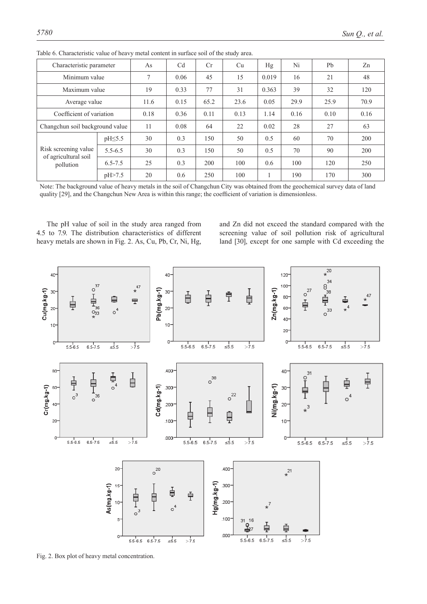| Characteristic parameter          |               | As   | C <sub>d</sub> | Cr   | Cu   | Hg    | Ni   | Pb   | Zn   |
|-----------------------------------|---------------|------|----------------|------|------|-------|------|------|------|
| Minimum value                     |               | 7    | 0.06           | 45   | 15   | 0.019 | 16   | 21   | 48   |
| Maximum value                     |               | 19   | 0.33           | 77   | 31   | 0.363 | 39   | 32   | 120  |
| Average value                     |               | 11.6 | 0.15           | 65.2 | 23.6 | 0.05  | 29.9 | 25.9 | 70.9 |
| Coefficient of variation          |               | 0.18 | 0.36           | 0.11 | 0.13 | 1.14  | 0.16 | 0.10 | 0.16 |
| Changchun soil background value   |               | 11   | 0.08           | 64   | 22   | 0.02  | 28   | 27   | 63   |
|                                   | $pH \leq 5.5$ | 30   | 0.3            | 150  | 50   | 0.5   | 60   | 70   | 200  |
| Risk screening value              | $5.5 - 6.5$   | 30   | 0.3            | 150  | 50   | 0.5   | 70   | 90   | 200  |
| of agricultural soil<br>pollution | $6.5 - 7.5$   | 25   | 0.3            | 200  | 100  | 0.6   | 100  | 120  | 250  |
|                                   | pH > 7.5      | 20   | 0.6            | 250  | 100  | 1     | 190  | 170  | 300  |

Table 6. Characteristic value of heavy metal content in surface soil of the study area.

Note: The background value of heavy metals in the soil of Changchun City was obtained from the geochemical survey data of land quality [29], and the Changchun New Area is within this range; the coefficient of variation is dimensionless.

The pH value of soil in the study area ranged from 4.5 to 7.9. The distribution characteristics of different heavy metals are shown in Fig. 2. As, Cu, Pb, Cr, Ni, Hg,

and Zn did not exceed the standard compared with the screening value of soil pollution risk of agricultural land [30], except for one sample with Cd exceeding the

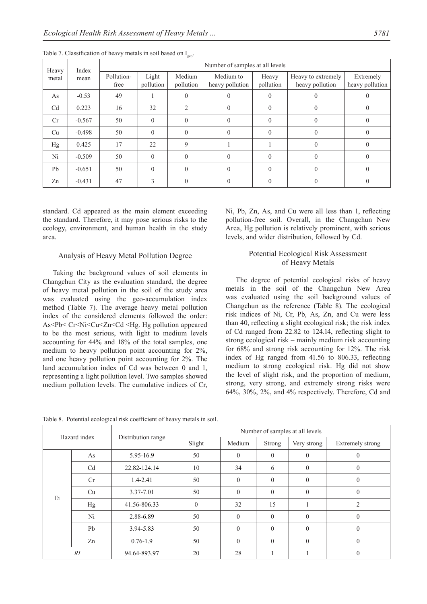| Index<br>Heavy<br>metal<br>mean |          | Number of samples at all levels |                    |                     |                              |                    |                                       |                              |  |  |  |
|---------------------------------|----------|---------------------------------|--------------------|---------------------|------------------------------|--------------------|---------------------------------------|------------------------------|--|--|--|
|                                 |          | Pollution-<br>free              | Light<br>pollution | Medium<br>pollution | Medium to<br>heavy pollution | Heavy<br>pollution | Heavy to extremely<br>heavy pollution | Extremely<br>heavy pollution |  |  |  |
| As                              | $-0.53$  | 49                              |                    | $\Omega$            |                              | $\Omega$           |                                       | O                            |  |  |  |
| C <sub>d</sub>                  | 0.223    | 16                              | 32                 | $\mathfrak{D}$      |                              | $\Omega$           |                                       | $\theta$                     |  |  |  |
| Cr                              | $-0.567$ | 50                              | $\Omega$           | $\theta$            | 0                            | $\theta$           |                                       | $\theta$                     |  |  |  |
| Cu                              | $-0.498$ | 50                              | $\Omega$           | $\Omega$            | 0                            | $\Omega$           |                                       | $\Omega$                     |  |  |  |
| Hg                              | 0.425    | 17                              | 22                 | 9                   |                              |                    | $\Omega$                              | $\Omega$                     |  |  |  |
| Ni                              | $-0.509$ | 50                              | $\Omega$           | $\Omega$            | 0                            | $\Omega$           |                                       | $\Omega$                     |  |  |  |
| Pb                              | $-0.651$ | 50                              | $\Omega$           | $\Omega$            | $\Omega$                     | $\Omega$           | $\Omega$                              | $\theta$                     |  |  |  |
| Zn                              | $-0.431$ | 47                              | $\mathcal{E}$      | $\Omega$            |                              | $\Omega$           |                                       |                              |  |  |  |

Table 7. Classification of heavy metals in soil based on I<sub>geo</sub>.

standard. Cd appeared as the main element exceeding the standard. Therefore, it may pose serious risks to the ecology, environment, and human health in the study area.

### Analysis of Heavy Metal Pollution Degree

Taking the background values of soil elements in Changchun City as the evaluation standard, the degree of heavy metal pollution in the soil of the study area was evaluated using the geo-accumulation index method (Table 7). The average heavy metal pollution index of the considered elements followed the order: As<Pb< Cr<Ni<Cu<Zn<Cd <Hg. Hg pollution appeared to be the most serious, with light to medium levels accounting for 44% and 18% of the total samples, one medium to heavy pollution point accounting for 2%, and one heavy pollution point accounting for 2%. The land accumulation index of Cd was between 0 and 1, representing a light pollution level. Two samples showed medium pollution levels. The cumulative indices of Cr,

Ni, Pb, Zn, As, and Cu were all less than 1, reflecting pollution-free soil. Overall, in the Changchun New Area, Hg pollution is relatively prominent, with serious levels, and wider distribution, followed by Cd.

## Potential Ecological Risk Assessment of Heavy Metals

The degree of potential ecological risks of heavy metals in the soil of the Changchun New Area was evaluated using the soil background values of Changchun as the reference (Table 8). The ecological risk indices of Ni, Cr, Pb, As, Zn, and Cu were less than 40, reflecting a slight ecological risk; the risk index of Cd ranged from 22.82 to 124.14, reflecting slight to strong ecological risk – mainly medium risk accounting for 68% and strong risk accounting for 12%. The risk index of Hg ranged from 41.56 to 806.33, reflecting medium to strong ecological risk. Hg did not show the level of slight risk, and the proportion of medium, strong, very strong, and extremely strong risks were 64%, 30%, 2%, and 4% respectively. Therefore, Cd and

Table 8. Potential ecological risk coefficient of heavy metals in soil.

|                | Hazard index    |                    | Number of samples at all levels |              |          |                |                  |  |  |  |
|----------------|-----------------|--------------------|---------------------------------|--------------|----------|----------------|------------------|--|--|--|
|                |                 | Distribution range | Slight                          | Medium       | Strong   | Very strong    | Extremely strong |  |  |  |
|                | 5.95-16.9<br>As |                    | 50                              | $\theta$     | $\theta$ | $\theta$       |                  |  |  |  |
| C <sub>d</sub> |                 | 22.82-124.14       | 10                              | 34           | 6        | $\overline{0}$ | $\theta$         |  |  |  |
| Ei             | Cr              | $1.4 - 2.41$       | 50                              | $\theta$     | $\Omega$ | $\theta$       | $\theta$         |  |  |  |
|                | Cu              | 3.37-7.01          | 50                              | $\theta$     | $\theta$ | $\theta$       | $\theta$         |  |  |  |
|                | Hg              | 41.56-806.33       | $\theta$                        | 32           | 15       |                | 2                |  |  |  |
|                | Ni              | 2.88-6.89          | 50                              | $\mathbf{0}$ | $\Omega$ | $\theta$       | $\theta$         |  |  |  |
|                | Pb              | 3.94-5.83          | 50                              | $\theta$     | $\theta$ | $\theta$       | $\mathbf{0}$     |  |  |  |
|                | Zn              | $0.76 - 1.9$       | 50                              | $\theta$     | $\Omega$ | $\theta$       | $\theta$         |  |  |  |
| RI             |                 | 94.64-893.97       | 20                              | 28           |          |                | $\theta$         |  |  |  |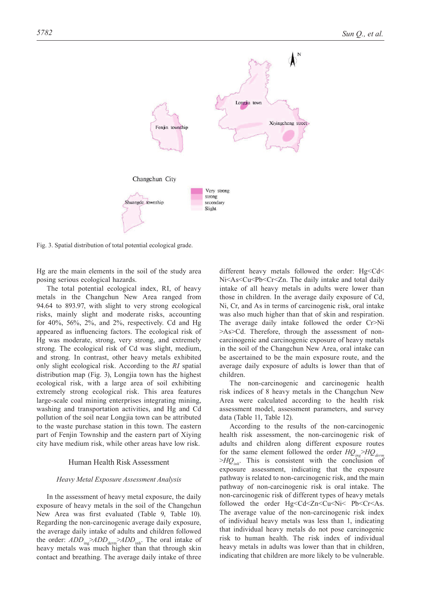

Fig. 3. Spatial distribution of total potential ecological grade.

Hg are the main elements in the soil of the study area posing serious ecological hazards.

The total potential ecological index, RI, of heavy metals in the Changchun New Area ranged from 94.64 to 893.97, with slight to very strong ecological risks, mainly slight and moderate risks, accounting for  $40\%, 56\%, 2\%, \text{ and } 2\%, \text{ respectively.}$  Cd and Hg appeared as influencing factors. The ecological risk of Hg was moderate, strong, very strong, and extremely strong. The ecological risk of Cd was slight, medium, and strong. In contrast, other heavy metals exhibited only slight ecological risk. According to the *RI* spatial distribution map (Fig. 3), Longjia town has the highest ecological risk, with a large area of soil exhibiting extremely strong ecological risk. This area features large-scale coal mining enterprises integrating mining, washing and transportation activities, and Hg and Cd pollution of the soil near Longjia town can be attributed to the waste purchase station in this town. The eastern part of Fenjin Township and the eastern part of Xiying city have medium risk, while other areas have low risk.

#### Human Health Risk Assessment

#### *Heavy Metal Exposure Assessment Analysis*

In the assessment of heavy metal exposure, the daily exposure of heavy metals in the soil of the Changchun New Area was first evaluated (Table 9, Table 10). Regarding the non-carcinogenic average daily exposure, the average daily intake of adults and children followed the order:  $ADD_{\text{ing}} > ADD_{\text{dem}} > ADD_{\text{inh}}$ . The oral intake of heavy metals was much higher than that through skin contact and breathing. The average daily intake of three

different heavy metals followed the order: Hg<Cd< Ni<As<Cu<Pb<Cr<Zn. The daily intake and total daily intake of all heavy metals in adults were lower than those in children. In the average daily exposure of Cd, Ni, Cr, and As in terms of carcinogenic risk, oral intake was also much higher than that of skin and respiration. The average daily intake followed the order Cr>Ni >As>Cd. Therefore, through the assessment of noncarcinogenic and carcinogenic exposure of heavy metals in the soil of the Changchun New Area, oral intake can be ascertained to be the main exposure route, and the average daily exposure of adults is lower than that of children.

The non-carcinogenic and carcinogenic health risk indices of 8 heavy metals in the Changchun New Area were calculated according to the health risk assessment model, assessment parameters, and survey data (Table 11, Table 12).

According to the results of the non-carcinogenic health risk assessment, the non-carcinogenic risk of adults and children along different exposure routes for the same element followed the order  $HQ_{ing} > HQ_{derm}$ >*HQinh*. This is consistent with the conclusion of exposure assessment, indicating that the exposure pathway is related to non-carcinogenic risk, and the main pathway of non-carcinogenic risk is oral intake. The non-carcinogenic risk of different types of heavy metals followed the order Hg<Cd<Zn<Cu<Ni< Pb<Cr<As. The average value of the non-carcinogenic risk index of individual heavy metals was less than 1, indicating that individual heavy metals do not pose carcinogenic risk to human health. The risk index of individual heavy metals in adults was lower than that in children, indicating that children are more likely to be vulnerable.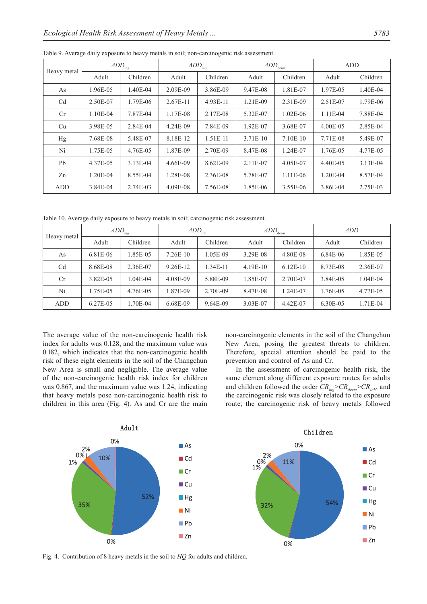|             | $ADD_{\rm ing}$ |            |            | $ADD_{\text{inh}}$ |          | $ADD_{\rm{dem}}$ | ADD      |          |
|-------------|-----------------|------------|------------|--------------------|----------|------------------|----------|----------|
| Heavy metal | Adult           | Children   | Adult      | Children           | Adult    | Children         | Adult    | Children |
| As          | 1.96E-05        | 1.40E-04   | 2.09E-09   | 3.86E-09           | 9.47E-08 | 1.81E-07         | 1.97E-05 | 1.40E-04 |
| Cd          | 2.50E-07        | 1.79E-06   | $2.67E-11$ | 4.93E-11           | 1.21E-09 | 2.31E-09         | 2.51E-07 | 1.79E-06 |
| Cr          | 1.10E-04        | 7.87E-04   | 1.17E-08   | 2.17E-08           | 5.32E-07 | $1.02E-06$       | 1.11E-04 | 7.88E-04 |
| Cu          | 3.98E-05        | 2.84E-04   | 4.24E-09   | 7.84E-09           | 1.92E-07 | 3.68E-07         | 4.00E-05 | 2.85E-04 |
| Hg          | 7.68E-08        | 5.48E-07   | 8.18E-12   | 1.51E-11           | 3.71E-10 | 7.10E-10         | 7.71E-08 | 5.49E-07 |
| Ni          | 1.75E-05        | 4.76E-05   | 1.87E-09   | 2.70E-09           | 8.47E-08 | 1.24E-07         | 1.76E-05 | 4.77E-05 |
| Pb          | 4.37E-05        | $3.13E-04$ | 4.66E-09   | 8.62E-09           | 2.11E-07 | 4.05E-07         | 4.40E-05 | 3.13E-04 |
| Zn          | $1.20E-04$      | 8.55E-04   | 1.28E-08   | 2.36E-08           | 5.78E-07 | 1.11E-06         | 1.20E-04 | 8.57E-04 |
| ADD         | 3.84E-04        | 2.74E-03   | 4.09E-08   | 7.56E-08           | 1.85E-06 | 3.55E-06         | 3.86E-04 | 2.75E-03 |

Table 9. Average daily exposure to heavy metals in soil; non-carcinogenic risk assessment.

Table 10. Average daily exposure to heavy metals in soil; carcinogenic risk assessment.

| Heavy metal    | $\overline{ADD}_{ing}$ |              |            | $ADD_{\text{inh}}$ | $\overline{ADD}_{\text{derm}}$ |            | ADD      |          |  |
|----------------|------------------------|--------------|------------|--------------------|--------------------------------|------------|----------|----------|--|
|                | Adult                  | Children     | Adult      | Children           | Adult                          | Children   | Adult    | Children |  |
| As             | 6.81E-06               | 1.85E-05     | $7.26E-10$ | 1.05E-09           | 3.29E-08                       | 4.80E-08   | 6.84E-06 | 1.85E-05 |  |
| C <sub>d</sub> | 8.68E-08               | 2.36E-07     | 9.26E-12   | 1.34E-11           | $4.19E-10$                     | $6.12E-10$ | 8.73E-08 | 2.36E-07 |  |
| Cr             | 3.82E-05               | $1.04E - 04$ | 4.08E-09   | 5.88E-09           | 1.85E-07                       | 2.70E-07   | 3.84E-05 | 1.04E-04 |  |
| Ni             | .75E-05                | 4.76E-05     | 1.87E-09   | 2.70E-09           | 8.47E-08                       | 1.24E-07   | 1.76E-05 | 4.77E-05 |  |
| ADD            | 6.27E-05               | .70E-04      | 6.68E-09   | 9.64E-09           | 3.03E-07                       | 4.42E-07   | 6.30E-05 | 1.71E-04 |  |

The average value of the non-carcinogenic health risk index for adults was 0.128, and the maximum value was 0.182, which indicates that the non-carcinogenic health risk of these eight elements in the soil of the Changchun New Area is small and negligible. The average value of the non-carcinogenic health risk index for children was 0.867, and the maximum value was 1.24, indicating that heavy metals pose non-carcinogenic health risk to children in this area (Fig. 4). As and Cr are the main non-carcinogenic elements in the soil of the Changchun New Area, posing the greatest threats to children. Therefore, special attention should be paid to the prevention and control of As and Cr.

In the assessment of carcinogenic health risk, the same element along different exposure routes for adults and children followed the order  $CR_{\text{ing}} > CR_{\text{derm}} > CR_{\text{inh}}$ , and the carcinogenic risk was closely related to the exposure route; the carcinogenic risk of heavy metals followed



Fig. 4. Contribution of 8 heavy metals in the soil to *HQ* for adults and children.

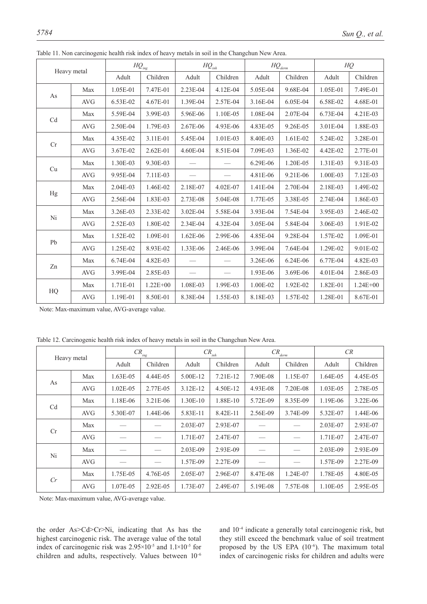|             |             |          | $H{\cal Q}_{\text{ing}}$ |          | $HQ_{inh}$ |          | $HQ_{\underbrace{\text{derm}}}\$ |          | HQ           |  |
|-------------|-------------|----------|--------------------------|----------|------------|----------|----------------------------------|----------|--------------|--|
|             | Heavy metal | Adult    | Children                 | Adult    | Children   | Adult    | Children                         | Adult    | Children     |  |
| As          | Max         | 1.05E-01 | 7.47E-01                 | 2.23E-04 | 4.12E-04   | 5.05E-04 | 9.68E-04                         | 1.05E-01 | 7.49E-01     |  |
|             | <b>AVG</b>  | 6.53E-02 | 4.67E-01                 | 1.39E-04 | 2.57E-04   | 3.16E-04 | 6.05E-04                         | 6.58E-02 | 4.68E-01     |  |
| Cd          | Max         | 5.59E-04 | 3.99E-03                 | 5.96E-06 | 1.10E-05   | 1.08E-04 | 2.07E-04                         | 6.73E-04 | 4.21E-03     |  |
|             | <b>AVG</b>  | 2.50E-04 | 1.79E-03                 | 2.67E-06 | 4.93E-06   | 4.83E-05 | 9.26E-05                         | 3.01E-04 | 1.88E-03     |  |
|             | Max         | 4.35E-02 | 3.11E-01                 | 5.45E-04 | 1.01E-03   | 8.40E-03 | 1.61E-02                         | 5.24E-02 | 3.28E-01     |  |
| Cr          | <b>AVG</b>  | 3.67E-02 | $2.62E - 01$             | 4.60E-04 | 8.51E-04   | 7.09E-03 | 1.36E-02                         | 4.42E-02 | 2.77E-01     |  |
| Cu          | Max         | 1.30E-03 | 9.30E-03                 |          |            | 6.29E-06 | 1.20E-05                         | 1.31E-03 | 9.31E-03     |  |
|             | <b>AVG</b>  | 9.95E-04 | 7.11E-03                 |          |            | 4.81E-06 | 9.21E-06                         | 1.00E-03 | 7.12E-03     |  |
|             | Max         | 2.04E-03 | 1.46E-02                 | 2.18E-07 | 4.02E-07   | 1.41E-04 | 2.70E-04                         | 2.18E-03 | 1.49E-02     |  |
| $_{\rm Hg}$ | <b>AVG</b>  | 2.56E-04 | 1.83E-03                 | 2.73E-08 | 5.04E-08   | 1.77E-05 | 3.38E-05                         | 2.74E-04 | 1.86E-03     |  |
| Ni          | Max         | 3.26E-03 | 2.33E-02                 | 3.02E-04 | 5.58E-04   | 3.93E-04 | 7.54E-04                         | 3.95E-03 | 2.46E-02     |  |
|             | <b>AVG</b>  | 2.52E-03 | 1.80E-02                 | 2.34E-04 | 4.32E-04   | 3.05E-04 | 5.84E-04                         | 3.06E-03 | 1.91E-02     |  |
| Pb          | Max         | 1.52E-02 | 1.09E-01                 | 1.62E-06 | 2.99E-06   | 4.85E-04 | 9.28E-04                         | 1.57E-02 | 1.09E-01     |  |
|             | <b>AVG</b>  | 1.25E-02 | 8.93E-02                 | 1.33E-06 | 2.46E-06   | 3.99E-04 | 7.64E-04                         | 1.29E-02 | 9.01E-02     |  |
| Zn          | Max         | 6.74E-04 | 4.82E-03                 |          |            | 3.26E-06 | 6.24E-06                         | 6.77E-04 | 4.82E-03     |  |
|             | <b>AVG</b>  | 3.99E-04 | 2.85E-03                 |          |            | 1.93E-06 | 3.69E-06                         | 4.01E-04 | 2.86E-03     |  |
|             | Max         | 1.71E-01 | $1.22E + 00$             | 1.08E-03 | 1.99E-03   | 1.00E-02 | 1.92E-02                         | 1.82E-01 | $1.24E + 00$ |  |
| HQ          | <b>AVG</b>  | 1.19E-01 | 8.50E-01                 | 8.38E-04 | 1.55E-03   | 8.18E-03 | 1.57E-02                         | 1.28E-01 | 8.67E-01     |  |

Table 11. Non carcinogenic health risk index of heavy metals in soil in the Changchun New Area.

Note: Max-maximum value, AVG-average value.

Table 12. Carcinogenic health risk index of heavy metals in soil in the Changchun New Area.

| Heavy metal |      | $CR_{ing}$ |          |          | $CR_{inh}$ |          | $CR_{\underline{derm}}$ |            | CR           |  |
|-------------|------|------------|----------|----------|------------|----------|-------------------------|------------|--------------|--|
|             |      | Adult      | Children | Adult    | Children   | Adult    | Children                | Adult      | Children     |  |
| As          | Max  | 1.63E-05   | 4.44E-05 | 5.00E-12 | $7.21E-12$ | 7.90E-08 | 1.15E-07                | 1.64E-05   | 4.45E-05     |  |
|             | AVG  | 1.02E-05   | 2.77E-05 | 3.12E-12 | 4.50E-12   | 4.93E-08 | 7.20E-08                | 1.03E-05   | 2.78E-05     |  |
| Cd          | Max  | 1.18E-06   | 3.21E-06 | 1.30E-10 | 1.88E-10   | 5.72E-09 | 8.35E-09                | 1.19E-06   | $3.22E - 06$ |  |
|             | AVG. | 5.30E-07   | 1.44E-06 | 5.83E-11 | 8.42E-11   | 2.56E-09 | 3.74E-09                | 5.32E-07   | 1.44E-06     |  |
| Cr          | Max  |            |          | 2.03E-07 | 2.93E-07   |          |                         | $2.03E-07$ | 2.93E-07     |  |
|             | AVG. |            |          | 1.71E-07 | 2.47E-07   |          |                         | 1.71E-07   | 2.47E-07     |  |
| Ni          | Max  |            |          | 2.03E-09 | 2.93E-09   |          |                         | 2.03E-09   | 2.93E-09     |  |
|             | AVG. |            |          | 1.57E-09 | 2.27E-09   |          |                         | 1.57E-09   | 2.27E-09     |  |
|             | Max  | 1.75E-05   | 4.76E-05 | 2.05E-07 | 2.96E-07   | 8.47E-08 | 1.24E-07                | 1.78E-05   | 4.80E-05     |  |
| Cr          | AVG  | 1.07E-05   | 2.92E-05 | 1.73E-07 | 2.49E-07   | 5.19E-08 | 7.57E-08                | 1.10E-05   | 2.95E-05     |  |

Note: Max-maximum value, AVG-average value.

the order As>Cd>Cr>Ni, indicating that As has the highest carcinogenic risk. The average value of the total index of carcinogenic risk was 2.95×10-5 and 1.1×10-5 for children and adults, respectively. Values between 10-6

and 10-4 indicate a generally total carcinogenic risk, but they still exceed the benchmark value of soil treatment proposed by the US EPA (10<sup>-6</sup>). The maximum total index of carcinogenic risks for children and adults were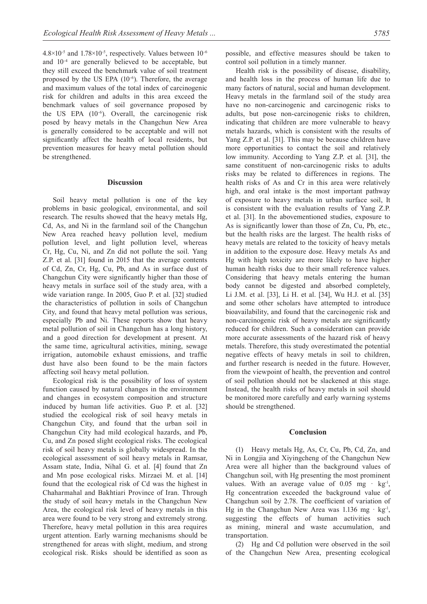$4.8\times10^{-5}$  and  $1.78\times10^{-5}$ , respectively. Values between  $10^{-6}$ and 10-4 are generally believed to be acceptable, but they still exceed the benchmark value of soil treatment proposed by the US EPA  $(10^{-6})$ . Therefore, the average and maximum values of the total index of carcinogenic risk for children and adults in this area exceed the benchmark values of soil governance proposed by the US EPA  $(10^{-6})$ . Overall, the carcinogenic risk posed by heavy metals in the Changchun New Area is generally considered to be acceptable and will not significantly affect the health of local residents, but prevention measures for heavy metal pollution should be strengthened.

#### **Discussion**

Soil heavy metal pollution is one of the key problems in basic geological, environmental, and soil research. The results showed that the heavy metals Hg, Cd, As, and Ni in the farmland soil of the Changchun New Area reached heavy pollution level, medium pollution level, and light pollution level, whereas Cr, Hg, Cu, Ni, and Zn did not pollute the soil. Yang Z.P. et al. [31] found in 2015 that the average contents of Cd, Zn, Cr, Hg, Cu, Pb, and As in surface dust of Changchun City were significantly higher than those of heavy metals in surface soil of the study area, with a wide variation range. In 2005, Guo P. et al. [32] studied the characteristics of pollution in soils of Changchun City, and found that heavy metal pollution was serious, especially Pb and Ni. These reports show that heavy metal pollution of soil in Changchun has a long history, and a good direction for development at present. At the same time, agricultural activities, mining, sewage irrigation, automobile exhaust emissions, and traffic dust have also been found to be the main factors affecting soil heavy metal pollution.

Ecological risk is the possibility of loss of system function caused by natural changes in the environment and changes in ecosystem composition and structure induced by human life activities. Guo P. et al. [32] studied the ecological risk of soil heavy metals in Changchun City, and found that the urban soil in Changchun City had mild ecological hazards, and Pb, Cu, and Zn posed slight ecological risks. The ecological risk of soil heavy metals is globally widespread. In the ecological assessment of soil heavy metals in Ramsar, Assam state, India, Nihal G. et al. [4] found that Zn and Mn pose ecological risks. Mirzaei M. et al. [14] found that the ecological risk of Cd was the highest in Chaharmahal and Bakhtiari Province of Iran. Through the study of soil heavy metals in the Changchun New Area, the ecological risk level of heavy metals in this area were found to be very strong and extremely strong. Therefore, heavy metal pollution in this area requires urgent attention. Early warning mechanisms should be strengthened for areas with slight, medium, and strong ecological risk. Risks should be identified as soon as possible, and effective measures should be taken to control soil pollution in a timely manner.

Health risk is the possibility of disease, disability, and health loss in the process of human life due to many factors of natural, social and human development. Heavy metals in the farmland soil of the study area have no non-carcinogenic and carcinogenic risks to adults, but pose non-carcinogenic risks to children, indicating that children are more vulnerable to heavy metals hazards, which is consistent with the results of Yang Z.P. et al. [31]. This may be because children have more opportunities to contact the soil and relatively low immunity. According to Yang Z.P. et al. [31], the same constituent of non-carcinogenic risks to adults risks may be related to differences in regions. The health risks of As and Cr in this area were relatively high, and oral intake is the most important pathway of exposure to heavy metals in urban surface soil, It is consistent with the evaluation results of Yang Z.P. et al. [31]. In the abovementioned studies, exposure to As is significantly lower than those of Zn, Cu, Pb, etc., but the health risks are the largest. The health risks of heavy metals are related to the toxicity of heavy metals in addition to the exposure dose. Heavy metals As and Hg with high toxicity are more likely to have higher human health risks due to their small reference values. Considering that heavy metals entering the human body cannot be digested and absorbed completely, Li J.M. et al. [33], Li H. et al. [34], Wu H.J. et al. [35] and some other scholars have attempted to introduce bioavailability, and found that the carcinogenic risk and non-carcinogenic risk of heavy metals are significantly reduced for children. Such a consideration can provide more accurate assessments of the hazard risk of heavy metals. Therefore, this study overestimated the potential negative effects of heavy metals in soil to children, and further research is needed in the future. However, from the viewpoint of health, the prevention and control of soil pollution should not be slackened at this stage. Instead, the health risks of heavy metals in soil should be monitored more carefully and early warning systems should be strengthened.

#### **Conclusion**

(1) Heavy metals Hg, As, Cr, Cu, Pb, Cd, Zn, and Ni in Longjia and Xiyingcheng of the Changchun New Area were all higher than the background values of Changchun soil, with Hg presenting the most prominent values. With an average value of  $0.05 \text{ mg} \cdot \text{kg}^{-1}$ , Hg concentration exceeded the background value of Changchun soil by 2.78. The coefficient of variation of Hg in the Changchun New Area was  $1.136$  mg · kg<sup>-1</sup>, suggesting the effects of human activities such as mining, mineral and waste accumulation, and transportation.

(2) Hg and Cd pollution were observed in the soil of the Changchun New Area, presenting ecological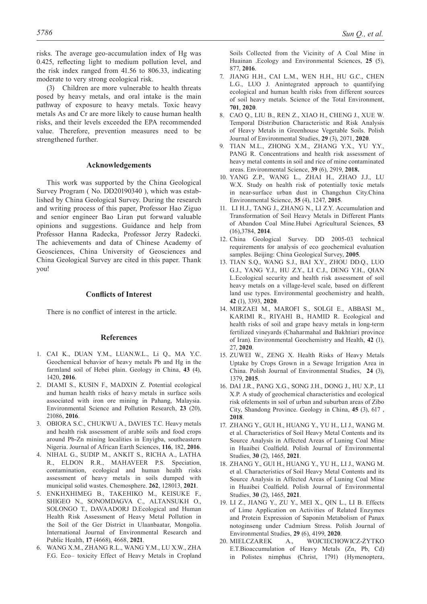risks. The average geo-accumulation index of Hg was 0.425, reflecting light to medium pollution level, and the risk index ranged from 41.56 to 806.33, indicating moderate to very strong ecological risk.

(3) Children are more vulnerable to health threats posed by heavy metals, and oral intake is the main pathway of exposure to heavy metals. Toxic heavy metals As and Cr are more likely to cause human health risks, and their levels exceeded the EPA recommended value. Therefore, prevention measures need to be strengthened further.

#### **Acknowledgements**

This work was supported by the China Geological Survey Program ( No. DD20190340 ), which was established by China Geological Survey. During the research and writing process of this paper, Professor Hao Ziguo and senior engineer Bao liran put forward valuable opinions and suggestions. Guidance and help from Professor Hanna Radecka, Professor Jerzy Radecki. The achievements and data of Chinese Academy of Geosciences, China University of Geosciences and China Geological Survey are cited in this paper. Thank you!

## **Conflicts of interest**

There is no conflict of interest in the article.

#### **References**

- 1. CAI K., DUAN Y.M., LUAN.W.L., Li Q., MA Y.C. Geochemical behavior of heavy metals Pb and Hg in the farmland soil of Hebei plain. Geology in China, **43** (4), 1420, **2016**.
- 2. DIAMI S., KUSIN F., MADXIN Z. Potential ecological and human health risks of heavy metals in surface soils associated with iron ore mining in Pahang, Malaysia. Environmental Science and Pollution Research, **23** (20), 21086, **2016**.
- 3. OBIORA S.C., CHUKWU A., DAVIES T.C. Heavy metals and health risk assessment of arable soils and food crops around Pb-Zn mining localities in Enyigba, southeastern Nigeria. Journal of African Earth Sciences, **116**, 182, **2016**.
- 4. NIHAL G., SUDIP M., ANKIT S., RICHA A., LATHA R., ELDON R.R., MAHAVEER P.S. Speciation, contamination, ecological and human health risks assessment of heavy metals in soils dumped with municipal solid wastes. Chemosphere. **262**, 128013, **2021**.
- 5. ENKHXHIMEG B., TAKEHIKO M., KEISUKE F., SHIGEO N., SONOMDAGVA C., ALTANSUKH O., SOLONGO T., DAVAADORJ D.Ecological and Human Health Risk Assessment of Heavy Metal Pollution in the Soil of the Ger District in Ulaanbaatar, Mongolia. International Journal of Environmental Research and Public Health, **17** (4668), 4668, **2021**.
- 6. WANG X.M., ZHANG R.L., WANG Y.M., LU X.W., ZHA F.G. Eco– toxicity Effect of Heavy Metals in Cropland

Soils Collected from the Vicinity of A Coal Mine in Huainan .Ecology and Environmental Sciences, **25** (5), 877, **2016**.

- 7. JIANG H.H., CAI L.M., WEN H.H., HU G.C., CHEN L.G., LUO J. Anintegrated approach to quantifying ecological and human health risks from different sources of soil heavy metals. Science of the Total Environment, **701**, **2020**.
- 8. CAO Q., LIU B., REN Z., XIAO H., CHENG J., XUE W. Temporal Distribution Characteristic and Risk Analysis of Heavy Metals in Greenhouse Vegetable Soils. Polish Journal of Environmental Studies, **29** (3), 2071, **2020**.
- 9. TIAN M.L., ZHONG X.M., ZHANG Y.X., YU Y.Y., PANG R. Concentrations and health risk assessment of heavy metal contents in soil and rice of mine contaminated areas. Environmental Science, **39** (6), 2919, **2018.**
- 10. YANG Z.P., WANG L., ZHAI H., ZHAO J.J., LU W.X. Study on health risk of potentially toxic metals in near-surface urban dust in Changchun City.China Environmental Science, **35** (4), 1247, **2015**.
- 11. LI H.J., TANG J., ZHANG N., LI Z.Y. Accumulation and Transformation of Soil Heavy Metals in Different Plants of Abandon Coal Mine.Hubei Agricultural Sciences, **53** (16),3784, **2014**.
- 12. China Geological Survey. DD 2005-03 technical requirements for analysis of eco geochemical evaluation samples. Beijing: China Geological Survey, **2005**.
- 13. TIAN S.Q., WANG S.J., BAI X.Y., ZHOU DD.Q., LUO G.J., YANG Y.J., HU Z.Y., LI C.J., DENG Y.H., QIAN L.Ecological security and health risk assessment of soil heavy metals on a village-level scale, based on different land use types. Environmental geochemistry and health, **42** (1), 3393, **2020**.
- 14. MIRZAEI M., MAROFI S., SOLGI E., ABBASI M., KARIMI R., RIYAHI B., HAMID R. Ecological and health risks of soil and grape heavy metals in long-term fertilized vineyards (Chaharmahal and Bakhtiari province of Iran). Environmental Geochemistry and Health, **42** (1), 27, **2020**.
- 15. ZUWEI W., ZENG X. Health Risks of Heavy Metals Uptake by Crops Grown in a Sewage Irrigation Area in China. Polish Journal of Environmental Studies, **24** (3), 1379, **2015**.
- 16. DAI J.R., PANG X.G., SONG J.H., DONG J., HU X.P., LI X.P. A study of geochemical characteristics and ecological risk ofelements in soil of urban and suburban areas of Zibo City, Shandong Province. Geology in China, **45** (3), 617 , **2018**.
- 17. Zhang Y., Gui H., Huang Y., Yu H., Li J., Wang M. et al. Characteristics of Soil Heavy Metal Contents and its Source Analysis in Affected Areas of Luning Coal Mine in Huaibei Coalfield. Polish Journal of Environmental Studies, **30** (2), 1465, **2021**.
- 18. Zhang Y., Gui H., Huang Y., Yu H., Li J., Wang M. et al. Characteristics of Soil Heavy Metal Contents and its Source Analysis in Affected Areas of Luning Coal Mine in Huaibei Coalfield. Polish Journal of Environmental Studies, **30** (2), 1465, **2021**.
- 19. Li Z., Jiang Y., Zu Y., Mei X., Qin L., Li B. Effects of Lime Application on Activities of Related Enzymes and Protein Expression of Saponin Metabolism of Panax notoginseng under Cadmium Stress. Polish Journal of Environmental Studies, **29** (6), 4199, **2020**.
- 20. MIELCZAREK A., WOJCIECHOWICZ-ŻYTKO E.T.Bioaccumulation of Heavy Metals (Zn, Pb, Cd) in Polistes nimphus (Christ, 1791) (Hymenoptera,